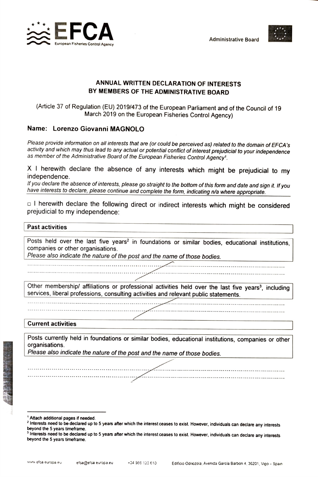



## ANNUAL WRITTEN DECLARATION OF INTERESTS BY MEMBERS OF THE ADMINISTRATIVE BOARD

(Article 37 of Regulation (EU) 2019/473 of the European Parliament and of the Council of 19 March 2019 on the European Fisheries Control Agency)

## Name: Lorenzo Giovanni MAGNOLO

Please provide information on all interests that are (or could be perceived as) related to the domain of EFCA's activity and which may thus lead to any actual or potential conflict of interest prejudicial to your independence as member of the Administrative Board of the European Fisheries Control Agency'.

X I herewith declare the absence of any interests which might be prejudicial to my independence.<br>If you declare the absence of interests, please go straight to the bottom of this form and date and sign it. If you

have interests to declare, please continue and complete the form, indicating n/a where appropriate.

 $\Box$  I herewith declare the following direct or indirect interests which might be considered prejudicial to my independence:

## Past activities

Posts held over the last five years<sup>2</sup> in foundations or similar bodies, educational institutions, companies or other organisations.

Please also indicate the nature of the post and the name of those bodies.

\*\*\*\*\*\*\* \*\*. \*\* \*\*\*\*\*\*\*\*

Other membership/ affiliations or professional activities held over the last five years<sup>3</sup>, including services, liberal professions, consulting activities and relevant public statements.

\*\*\*\* \*\*\*\*\*\* \*\*\* \*\*\*\*\*\*\*\*\* \*\*\*\* \*.

**Current activities** 

Posts currently held in foundations or similar bodies, educational institutions, companies or other organisations.

\*\*\*\*\*\*\*\*\*\*Y \*

Please also indicate the nature of the post and the name of those bodies.

<sup>&</sup>lt;sup>1</sup> Attach additional pages if needed.<br><sup>2</sup> Interests need to be declared up to 5 years after which the interest ceases to exist. However, individuals can declare any interests beyond the 5 years timeframe.

<sup>&</sup>lt;sup>3</sup> Interests need to be declared up to 5 years after which the interest ceases to exist. However, individuals can declare any interests beyond the 5 years timeframe.